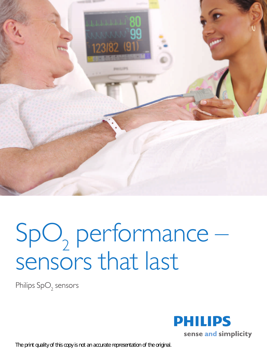

## $SpO<sub>2</sub>$  performance – sensors that last

Philips  $\mathsf{SpO}_2$  sensors

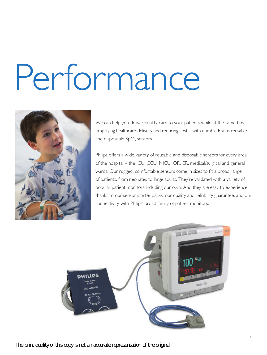# Performance



We can help you deliver quality care to your patients while at the same time simplifying healthcare delivery and reducing cost – with durable Philips reusable and disposable  $\mathsf{SpO}_2$  sensors.

Philips offers a wide variety of reusable and disposable sensors for every area of the hospital – the ICU, CCU, NICU, OR, ER, medical/surgical and general wards. Our rugged, comfortable sensors come in sizes to fit a broad range of patients, from neonates to large adults. They're validated with a variety of popular patient monitors including our own. And they are easy to experience thanks to our sensor starter packs, our quality and reliability guarantee, and our connectivity with Philips' broad family of patient monitors.

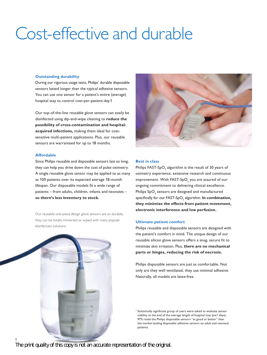### Cost-effective and durable

#### **Outstanding durability**

During our rigorous usage tests, Philips' durable disposable sensors lasted longer than the typical adhesive sensors. You can use one sensor for a patient's entire (average) hospital stay to control cost-per-patient-day.1

Our top-of-the-line reusable glove sensors can easily be disinfected using dip-and-wipe cleaning to **reduce the possibility of cross-contamination and hospitalacquired infections,** making them ideal for costsensitive multi-patient applications. Plus, our reusable sensors are warranteed for up to 18 months.

#### **Affordable**

Since Philips reusable and disposable sensors last so long, they can help you drive down the cost of pulse oximetry. A single reusable glove sensor may be applied to as many as 100 patients over its expected average 18-month lifespan. Our disposable models fit a wide range of patients – from adults, children, infants and neonates – **so there's less inventory to stock.**

Our reusable one-piece design glove sensors are so durable, they can be totally immersed or wiped with many popular disinfectant solutions.





#### **Best in class**

Philips FAST-SpO $_{\textrm{\tiny{2}}}$  algorithm is the result of 30 years of oximetry experience, extensive research and continuous improvement. With FAST-SpO $_{\rm 2}$  you are assured of our ongoing commitment to delivering clinical excellence. Philips  $\mathsf{SpO}_2$  sensors are designed and manufactured specifically for our FAST-SpO<sub>2</sub> algorithm. **In combination, they minimize the effects from patient movement, electronic interference and low perfusion.** 

#### **Ultimate patient comfort**

Philips reusable and disposable sensors are designed with the patient's comfort in mind. The unique design of our reusable silicon glove sensors offers a snug, secure fit to minimize skin irritation. Plus, **there are no mechanical parts or hinges, reducing the risk of necrosis.**

Philips disposable sensors are just as comfortable. Not only are they well ventilated, they use minimal adhesive. Naturally, all models are latex-free.

<sup>1</sup> Statistically significant group of users were asked to evaluate sensor viability at the end of the average length of hospital stay (six+ days). 97% rated the Philips disposable sensors "as good or better" than the market leading disposable adhesive sensors on adult and neonatal patients.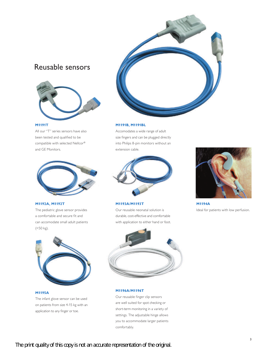#### Reusable sensors



#### **M1191T**

All our "T" series sensors have also been tested and qualified to be compatible with selected Nellcor® and GE Monitors.



#### **M1192A, M1192T**

The pediatric glove sensor provides a comfortable and secure fit and can accomodate small adult patients (<50 kg).



#### **M1195A**

The infant glove sensor can be used on patients from size 4-15 kg with an application to any finger or toe.



#### **M1191B, M1191BL**

Accomodates a wide range of adult size fingers and can be plugged directly into Philips 8-pin monitors without an extension cable.



#### **M1193A/M1193T**

Our reusable neonatal solution is durable, cost-effective and comfortable with application to either hand or foot.



**M1194A** Ideal for patients with low perfusion.



#### **M1196A/M1196T**

Our reusable finger clip sensors are well suited for spot checking or short-term monitoring in a variety of settings. The adjustable hinge allows you to accommodate larger patients comfortably.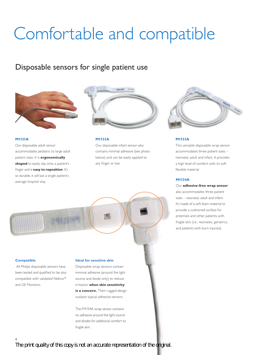## Comfortable and compatible

#### Disposable sensors for single patient use



#### **M1131A**

Our disposable adult sensor accommodates pediatric to large adult patient sizes. It is **ergonomically shaped** to easily slip onto a patient's finger and is **easy to reposition**. It's so durable, it will last a single patient's average hospital stay.



#### **M1132A**

Our disposable infant sensor also contains minimal adhesive (see photo below) and can be easily applied to any finger or toe.



#### **M1133A**

This versatile disposable wrap sensor accommodates three patient sizes – neonatal, adult and infant. It provides a high level of comfort with its soft flexible material.

#### **M1134A**

Our **adhesive-free wrap sensor** also accommodates three patient sizes – neonatal, adult and infant. It's made of a soft foam material to provide a cushioned surface for preemies and other patients with fragile skin (i.e., neonates, geriatrics, and patients with burn injuries).



#### **Compatible**

 All Philips disposable sensors have been tested and qualified to be also compatible with validated Nellcor® and GE Monitors.

#### **Ideal for sensitive skin**

Disposable wrap sensors contain minimal adhesive (around the light source and diode only) to reduce irritation **when skin sensitivity**  is a concern. Their rugged design outlasts typical adhesive sensors.

The M1134A wrap sensor contains no adhesive around the light source and diodes for additional comfort to fragile skin.

*The print quality of this copy is not an accurate representation of the original.*